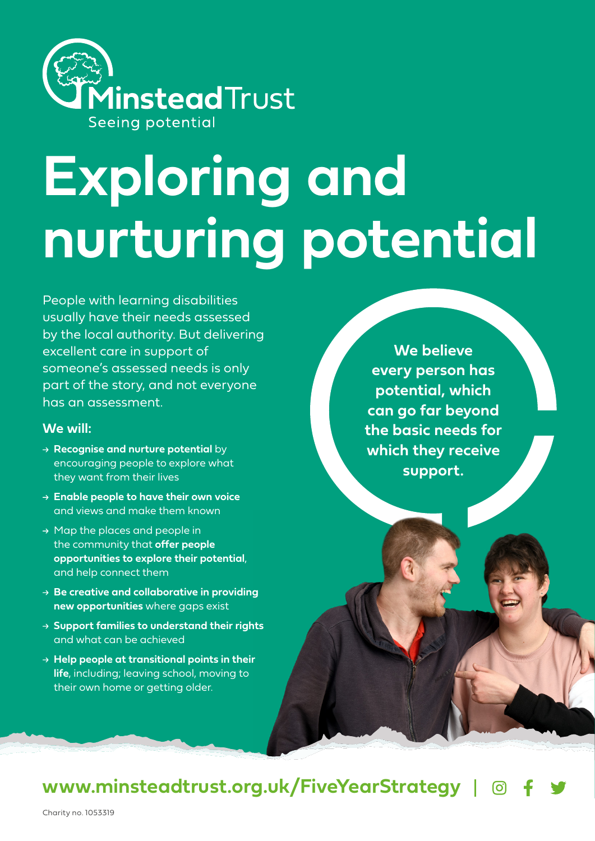

# **Exploring and nurturing potential**

People with learning disabilities usually have their needs assessed by the local authority. But delivering excellent care in support of someone's assessed needs is only part of the story, and not everyone has an assessment.

#### **We will:**

- → **Recognise and nurture potential** by encouraging people to explore what they want from their lives
- **Enable people to have their own voice**  and views and make them known
- $\rightarrow$  Map the places and people in the community that **offer people opportunities to explore their potential**, and help connect them
- **Be creative and collaborative in providing new opportunities** where gaps exist
- **Support families to understand their rights** and what can be achieved
- **Help people at transitional points in their life**, including; leaving school, moving to their own home or getting older.

**We believe every person has potential, which can go far beyond the basic needs for which they receive support.**

## **www.minsteadtrust.org.uk/FiveYearStrategy**

Charity no. 1053319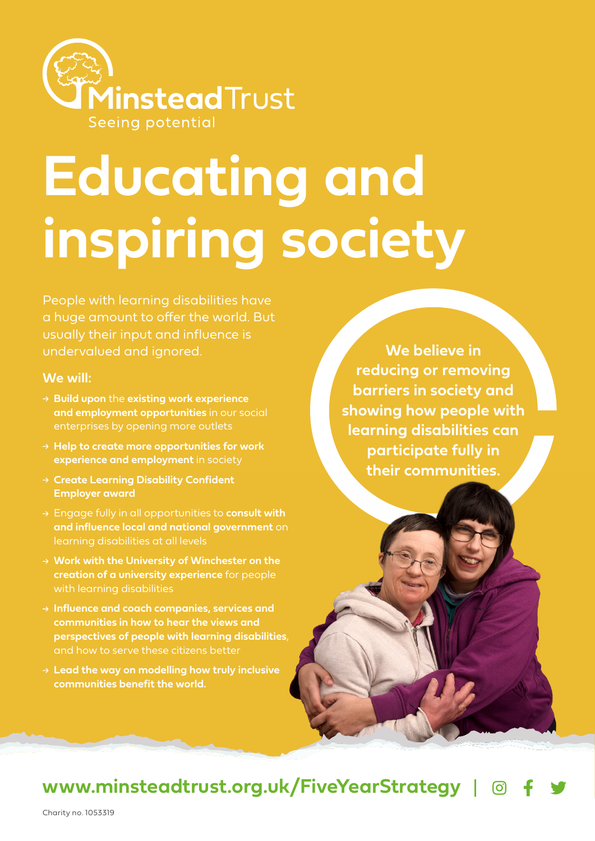

## **Educating and inspiring society**

People with learning disabilities have a huge amount to offer the world. But usually their input and influence is undervalued and ignored.

#### **We will:**

- **Build upon** the **existing work experience and employment opportunities** in our social enterprises by opening more outlets
- **Help to create more opportunities for work experience and employment** in society
- **Create Learning Disability Confident Employer award**
- Engage fully in all opportunities to **consult with and influence local and national government** on learning disabilities at all levels
- **Work with the University of Winchester on the creation of a university experience** for people with learning disabilities
- **Influence and coach companies, services and communities in how to hear the views and perspectives of people with learning disabilities**, and how to serve these citizens better
- **Lead the way on modelling how truly inclusive communities benefit the world.**

**We believe in reducing or removing barriers in society and showing how people with learning disabilities can participate fully in their communities.**

## **www.minsteadtrust.org.uk/FiveYearStrategy**

Charity no. 1053319